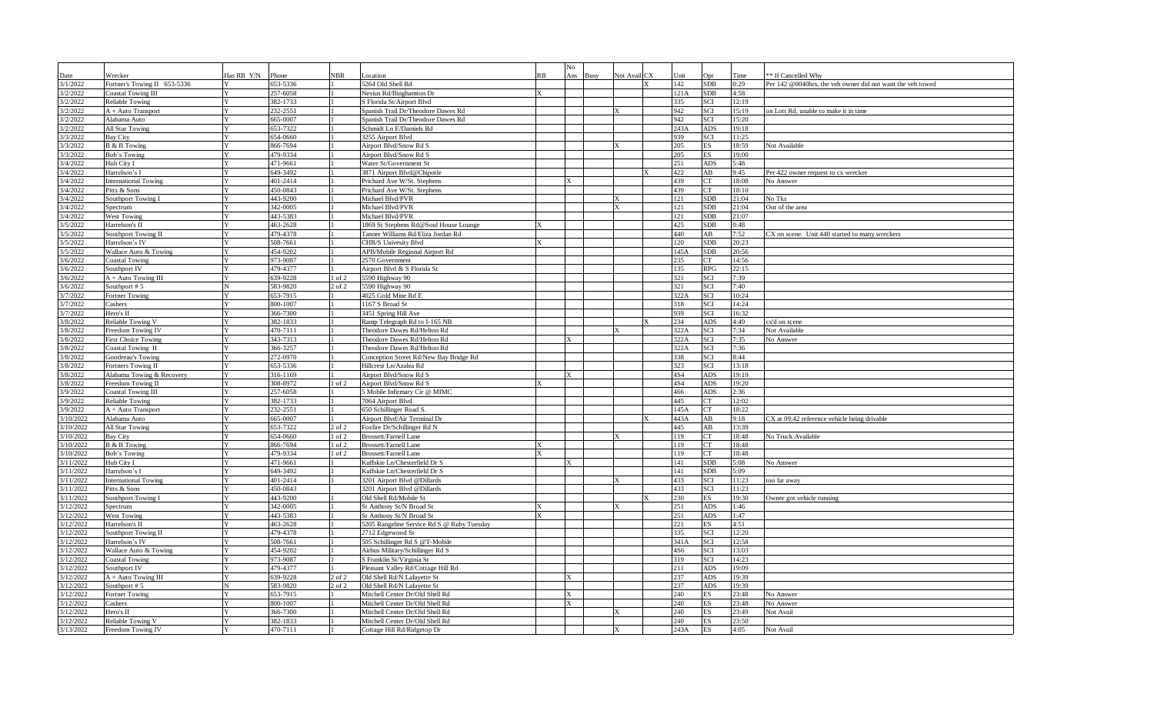| Date                  | Wrecker                      | Has RB Y/N   | Phone        | <b>NBR</b> | Location                                   | RB | No<br>Ans | Busy | Not Avail CX | Unit | Opr        | Time  | * If Cancelled Why                                        |
|-----------------------|------------------------------|--------------|--------------|------------|--------------------------------------------|----|-----------|------|--------------|------|------------|-------|-----------------------------------------------------------|
| 3/1/2022              | Fortner's Towing II 653-5336 |              | 653-5336     |            | 5264 Old Shell Rd                          |    |           |      |              | 142  | SDB        | 0:29  | er 142 @0040hrs, the veh owner did not want the veh towed |
| 3/2/2022              | <b>Coastal Towing III</b>    |              | 257-6058     |            | Nevius Rd/Binghamton Dr                    |    |           |      |              | 121A | SDB        | 4:58  |                                                           |
| 3/2/2022              | <b>Reliable Towing</b>       | Y            | 382-1733     |            | S Florida St/Airport Blvd                  |    |           |      |              | 335  | SCI        | 12:19 |                                                           |
| 3/2/2022              | A + Auto Transport           |              | 232-2551     |            | Spanish Trail Dr/Theodore Dawes Rd         |    |           |      |              | 942  | SCI        | 15:19 | on Lott Rd, unable to make it in time                     |
| 3/2/2022              | Alabama Auto                 |              | 565-0007     |            | Spanish Trail Dr/Theodore Dawes Rd         |    |           |      |              | 942  | SCI        | 15:20 |                                                           |
| 3/2/2022              | All Star Towing              |              | 653-7322     |            | Schmidt Ln E/Damiels Rd                    |    |           |      |              | 243A | ADS        | 19:18 |                                                           |
| 3/3/2022              | <b>Bay City</b>              |              | $654 - 0660$ |            | 3255 Airport Blvd                          |    |           |      |              | 939  | SCI        | 11:25 |                                                           |
| 3/3/2022              | B & B Towing                 | $\mathbf{v}$ | 866-7694     |            | Airport Blvd/Snow Rd S                     |    |           |      |              | 205  | ES         | 18:59 | Not Available                                             |
| 3/3/2022              | Bob's Towing                 |              | 479-9334     |            | Airport Blvd/Snow Rd S                     |    |           |      |              | 205  | ES         | 19:00 |                                                           |
| 3/4/2022              | Hub City I                   |              | 471-9661     |            | Water St/Government St                     |    |           |      |              | 251  | ADS        | 5:48  |                                                           |
| 3/4/2022              | Harrelson's I                |              | 649-3492     |            | 3871 Airport Blvd@Chipotle                 |    |           |      |              | 422  | AB         | 9:45  | Per 422 owner request to cx wrecker                       |
| 3/4/2022              | <b>International Towing</b>  |              | 401-2414     |            | Prichard Ave W/St. Stephens                |    |           |      |              | 439  | CT         | 18:08 | No Answer                                                 |
| 3/4/2022              | Pitts & Sons                 |              | 450-0843     |            | Prichard Ave W/St. Stephens                |    |           |      |              | 439  | CT         | 18:10 |                                                           |
| 3/4/2022              | Southport Towing I           |              | 443-9200     |            | Michael Blvd/PVR                           |    |           |      |              | 121  | SDB        | 21:04 | <b>Vo Tks</b>                                             |
| 3/4/2022              | Spectrum                     |              | 342-0005     |            | Michael Blvd/PVR                           |    |           |      |              | 121  | SDB        | 21:04 | Out of the area                                           |
| 3/4/2022              | West Towing                  |              | 443-5383     |            | Michael Blvd/PVR                           |    |           |      |              | 121  | SDB        | 21:07 |                                                           |
| 3/5/2022              | Harrelson's II               |              | 463-2628     |            | 1869 St Stephens Rd@Soul House Lounge      |    |           |      |              | 425  | SDB        | 0:48  |                                                           |
| 3/5/2022              | Southport Towing II          |              | 479-4378     |            | Fanner Williams Rd/Eliza Jordan Rd         |    |           |      |              | 440  | AB         | 7:52  | CX on scene. Unit 440 started to many wreckers            |
| 3/5/2022              | Harrelson's IV               |              | 508-7661     |            | CHR/S Univesity Blvd                       |    |           |      |              | 120  | SDB        | 20:23 |                                                           |
| 3/5/2022              | Wallace Auto & Towing        | Y            | 454-9202     |            | APB/Mobile Regional Airport Rd             |    |           |      |              | 145A | SDB        | 20:56 |                                                           |
| 3/6/2022              | <b>Coastal Towing</b>        |              | 973-9087     |            | 2570 Government                            |    |           |      |              | 235  | СT         | 14:56 |                                                           |
| 3/6/2022              | Southport IV                 |              | 479-4377     |            | Airport Blvd & S Florida St                |    |           |      |              | 135  | RPG        | 22:15 |                                                           |
| 3/6/2022              | $A + Auto Towning III$       |              | 639-9228     | $1$ of $2$ | 5590 Highway 90                            |    |           |      |              | 321  | SCI        | 7:39  |                                                           |
| 3/6/2022              | Southport #5                 |              | 583-9820     | 2 of 2     | 5590 Highway 90                            |    |           |      |              | 321  | SCI        | 7:40  |                                                           |
| 3/7/2022              | Fortner Towing               |              | 553-7915     |            | 4025 Gold Mine Rd E                        |    |           |      |              | 322A | SCI        | 10:24 |                                                           |
| 3/7/2022              | Cashers                      |              | 800-1007     |            | 1167 S Broad St                            |    |           |      |              | 318  | SCI        | 14:24 |                                                           |
| 3/7/2022              | Hero's II                    |              | 366-7300     |            | 3451 Spring Hill Ave                       |    |           |      |              | 939  | SCI        | 16:32 |                                                           |
| 3/8/2022              | Reliable Towing V            |              | 382-1833     |            | Ramp Telegraph Rd to I-165 NB              |    |           |      |              | 234  | ADS        | 4:49  | cx'd on scene                                             |
| 3/8/2022              | Freedom Towing IV            |              | 470-7111     |            | Theodore Dawes Rd/Helton Rd                |    |           |      |              | 322A | SCI        | 7:34  | Not Available                                             |
| 3/8/2022              | First Choice Towing          | V            | 343-7313     |            | Theodore Dawes Rd/Helton Rd                |    | X         |      |              | 322A | SCI        | 7:35  | No Answer                                                 |
| 3/8/2022              | Coastal Towing II            |              | 366-3257     |            | Theodore Dawes Rd/Helton Rd                |    |           |      |              | 322A | SCI        | 7:36  |                                                           |
| 3/8/2022              | Goodreau's Towing            |              | 272-0970     |            | Conception Street Rd/New Bay Bridge Rd     |    |           |      |              | 338  | SCI        | 8:44  |                                                           |
| 3/8/2022              | Fortners Towing II           | Y            | 653-5336     |            | Hillcrest Ln/Azalea Rd                     |    |           |      |              | 323  | SCI        | 13:18 |                                                           |
| 3/8/2022              | Alabama Towing & Recovery    | Y            | 316-1169     |            | Airport Blvd/Snow Rd S                     |    |           |      |              | 4S4  | ADS        | 19:19 |                                                           |
| 3/8/2022              | Freedom Towing II            | Y            | 308-8972     | 1 of 2     | Airport Blvd/Snow Rd S                     |    |           |      |              | 4S4  | ADS        | 19:20 |                                                           |
| 3/9/2022              | <b>Coastal Towing III</b>    | Y            | 257-6058     |            | 5 Mobile Infirmary Cir @ MIMC              |    |           |      |              | 466  | ADS        | 2:36  |                                                           |
| 3/9/2022              | <b>Reliable Towing</b>       |              | 382-1733     |            | 7064 Airport Blvd                          |    |           |      |              | 445  | CT         | 12:02 |                                                           |
| 3/9/2022              | A + Auto Transport           |              | 232-2551     |            | 650 Schillinger Road S.                    |    |           |      |              | 145A | CT         | 18:22 |                                                           |
| 3/10/2022             | Alabama Auto                 |              | 665-0007     |            | Airport Blvd/Air Terminal Dr               |    |           |      |              | 443A | AB         | 9:18  | CX at 09:42 reference vehicle being drivable              |
| 3/10/2022             | All Star Towing              | Y            | 653-7322     | $2$ of $2$ | Foxfire Dr/Schillinger Rd N                |    |           |      |              | 445  | AB         | 13:39 |                                                           |
| 3/10/2022             | Bay City                     |              | 654-0660     | $1$ of $2$ | <b>Brossett/Farnell Lane</b>               |    |           |      |              | 119  | CT.        | 18:48 | No Truck Available                                        |
| 3/10/2022             | B & B Towing                 |              | 866-7694     | $1$ of $2$ | <b>Brossett/Farnell Lane</b>               |    |           |      |              | 119  | CT         | 18:48 |                                                           |
| 3/10/2022             | Bob's Towing                 |              | 479-9334     | $1$ of $2$ | <b>Brossett/Farnell Lane</b>               |    |           |      |              | 119  | CT         | 18:48 |                                                           |
| 3/11/2022             | Hub City I                   |              | 471-9661     |            | Kuffskie Ln/Chesterfield Dr S              |    |           |      |              | 141  | SDB        | 5:08  | No Answer                                                 |
| 3/11/2022             | Harrelson's I                | Y            | 649-3492     |            | Kuffskie Ln/Chesterfield Dr S              |    |           |      |              | 141  | SDB        | 5:09  |                                                           |
| 3/11/2022             | <b>International Towing</b>  | Y            | 401-2414     |            | 3201 Airport Blvd @Dillards                |    |           |      |              | 433  | SCI        | 11:23 | oo far away                                               |
| 3/11/2022             | Pitts & Sons                 | Y            | 450-0843     |            | 3201 Airport Blvd @Dillards                |    |           |      |              | 433  | SCI        | 11:23 |                                                           |
| $\frac{1}{3/11/2022}$ | Southport Towing I           |              | 443-9200     |            | Old Shell Rd/Mobile St                     |    |           |      |              | 230  | ES -       | 19:30 | Owner got vehicle running                                 |
| 3/12/2022             | Spectrum                     |              | 342-0005     |            | St Anthony St/N Broad St                   |    |           |      |              | 251  | ADS        | 1:46  |                                                           |
| 3/12/2022             | <b>West Towing</b>           |              | 443-5383     |            | St Anthony St/N Broad St                   |    |           |      |              | 251  | ADS.       | 1:47  |                                                           |
| 3/12/2022             | Harrelson's II               |              | 463-2628     |            | 5205 Rangeline Service Rd S @ Ruby Tuesday |    |           |      |              | 221  | ES         | 4:51  |                                                           |
| 3/12/2022             | <b>Southport Towing II</b>   |              | 479-4378     |            | 2712 Edgewood St                           |    |           |      |              | 335  | SCI        | 12:20 |                                                           |
| 3/12/2022             | Harrelson's IV               |              | 508-7661     |            | 505 Schillinger Rd S @T-Mobile             |    |           |      |              | 341A | SCI        | 12:58 |                                                           |
| 3/12/2022             | Wallace Auto & Towing        |              | 454-9202     |            | Airbus Military/Schillinger Rd S           |    |           |      |              | 4S6  | SCI        | 13:03 |                                                           |
| 3/12/2022             | <b>Coastal Towing</b>        |              | 973-9087     |            | S Franklin St/Virginia St                  |    |           |      |              | 319  | SCI        | 14:23 |                                                           |
| 3/12/2022             | Southport IV                 | Y            | 479-4377     |            | Pleasant Valley Rd/Cottage Hill Rd         |    |           |      |              | 211  | ADS        | 19:09 |                                                           |
| 3/12/2022             | $A + Auto Towning III$       |              | 639-9228     | 2 of 2     | Old Shell Rd/N Lafayette St                |    | X         |      |              | 237  | ADS        | 19:39 |                                                           |
| 3/12/2022             | Southport #5                 |              | 583-9820     | $2$ of $2$ | Old Shell Rd/N Lafayette St                |    |           |      |              | 237  | <b>ADS</b> | 19:39 |                                                           |
| 3/12/2022             | Fortner Towing               |              | 553-7915     |            | Mitchell Center Dr/Old Shell Rd            |    |           |      |              | 240  | ES         | 23:48 | √o Answer                                                 |
| 3/12/2022             | Cashers                      |              | 800-1007     |            | Mitchell Center Dr/Old Shell Rd            |    | X         |      |              | 240  | ES         | 23:48 | <b>Jo Answer</b>                                          |
| 3/12/2022             | Hero's II                    |              | 366-7300     |            | Mitchell Center Dr/Old Shell Rd            |    |           |      |              | 240  | ES         | 23:49 | Jot Avail                                                 |
| 3/12/2022             | Reliable Towing V            |              | 382-1833     |            | Mitchell Center Dr/Old Shell Rd            |    |           |      |              | 240  | <b>ES</b>  | 23:50 |                                                           |
| 3/13/2022             | Freedom Towing IV            |              | 470-7111     |            | Cottage Hill Rd/Ridgetop Dr                |    |           |      |              | 243A | ES         | 4:05  | Not Avail                                                 |
|                       |                              |              |              |            |                                            |    |           |      |              |      |            |       |                                                           |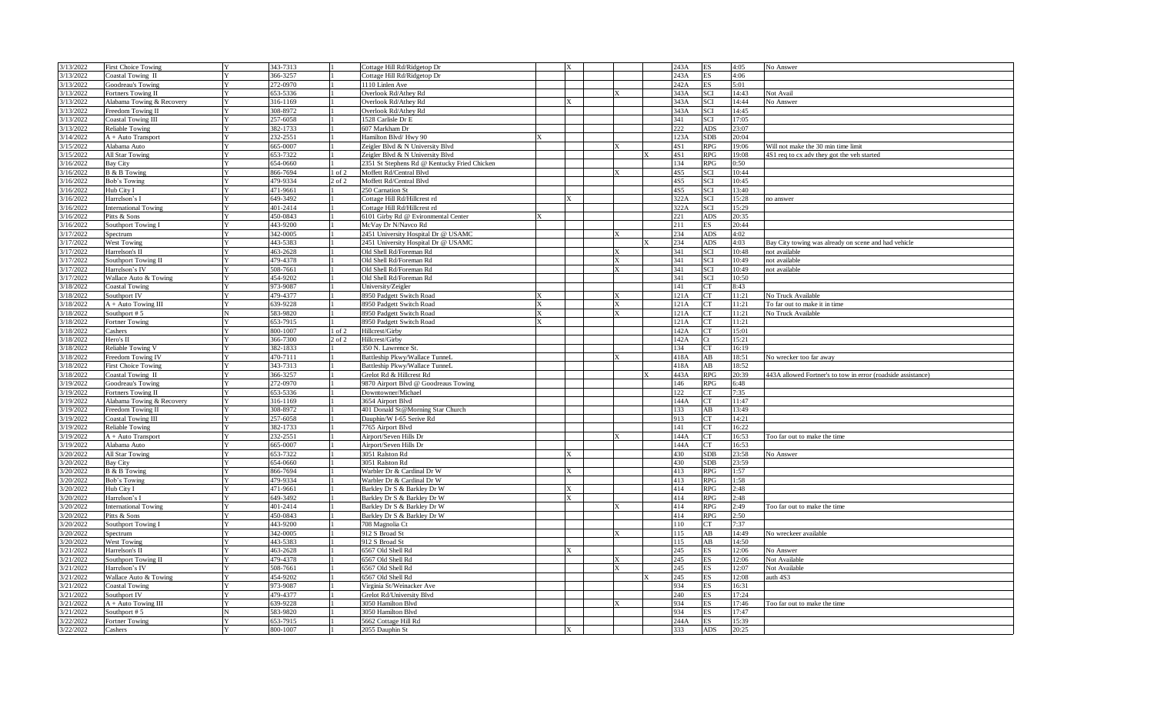| 3/13/2022 | <b>First Choice Towing</b>       | 343-7313 |            | Cottage Hill Rd/Ridgetop Dr                  |   | X |  | 243A | <b>ES</b>  | 4:05  | No Answer                                                    |
|-----------|----------------------------------|----------|------------|----------------------------------------------|---|---|--|------|------------|-------|--------------------------------------------------------------|
| 3/13/2022 | <b>Coastal Towing II</b>         | 366-3257 |            | ottage Hill Rd/Ridgetop Dr                   |   |   |  | 243A | ES         | 4:06  |                                                              |
| 3/13/2022 | Goodreau's Towing                | 272-0970 |            | $\overline{1110}$ Linlen Ave                 |   |   |  | 242A | ES         | 5:01  |                                                              |
| 3/13/2022 | ortners Towing II                | 653-5336 |            | Overlook Rd/Athey Rd                         |   |   |  | 343A | SCI        | 14:43 | Not Avail                                                    |
| 3/13/2022 | Alabama Towing & Recovery        | 316-1169 |            | Overlook Rd/Athey Rd                         |   |   |  | 343A | SCI        | 14:44 | No Answer                                                    |
| 3/13/2022 | reedom Towing II                 | 308-8972 |            | Overlook Rd/Athev Rd                         |   |   |  | 343A | <b>SCI</b> | 14:45 |                                                              |
| 3/13/2022 | Coastal Towing III               | 257-6058 |            | 1528 Carlisle Dr E                           |   |   |  | 341  | SCI        | 17:05 |                                                              |
| 3/13/2022 | Reliable Towing                  | 382-1733 |            | 607 Markham Dr                               |   |   |  | 222  | <b>ADS</b> | 23:07 |                                                              |
| 3/14/2022 | A + Auto Transport               | 232-2551 |            | Jamilton Blvd/Hwy 90                         |   |   |  | 123A | <b>SDB</b> | 20:04 |                                                              |
| 3/15/2022 | Alabama Auto                     | 665-0007 |            | Zeigler Blvd & N University Blvd             |   |   |  | 4S1  | RPG        | 19:06 | Will not make the 30 min time limit                          |
| 3/15/2022 | <b>All Star Towing</b>           | 653-7322 |            | Zeigler Blvd & N University Blvd             |   |   |  | 4S1  | <b>RPG</b> | 19:08 | 4S1 req to cx adv they got the veh started                   |
| 3/16/2022 | Bay City                         | 654-0660 |            | 2351 St Stephens Rd @ Kentucky Fried Chicken |   |   |  | 134  | RPG        | 0:50  |                                                              |
| 3/16/2022 | <b>B</b> & <b>B</b> Towing       | 866-7694 | $1$ of 2   | Moffett Rd/Central Blvd                      |   |   |  | 4S5  | <b>SCI</b> | 10:44 |                                                              |
| 3/16/2022 | <b>Bob's Towing</b>              | 479-9334 | $2$ of $2$ | Moffett Rd/Central Blvd                      |   |   |  | 4S5  | SCI        | 10:45 |                                                              |
| 3/16/2022 | Hub City I                       | 471-9661 |            | 250 Carnation St                             |   |   |  | 4S5  | SCI        | 13:40 |                                                              |
| 3/16/2022 | Iarrelson's I                    | 649-3492 |            | Cottage Hill Rd/Hillcrest rd                 |   |   |  | 322A | <b>SCI</b> | 15:28 | no answer                                                    |
| 3/16/2022 | International Towing             | 401-2414 |            | Cottage Hill Rd/Hillcrest rd                 |   |   |  | 322A | SCI        | 15:29 |                                                              |
| 3/16/2022 | Pitts & Sons                     | 450-0843 |            | 6101 Girby Rd @ Evironmental Center          |   |   |  | 221  | ADS        | 20:35 |                                                              |
| 3/16/2022 | Southport Towing I               | 443-9200 |            | McVay Dr N/Navco Rd                          |   |   |  | 211  | ES         | 20:44 |                                                              |
| 3/17/2022 | Spectrum                         | 342-0005 |            | 2451 University Hospital Dr @ USAMC          |   |   |  | 234  | <b>ADS</b> | 4:02  |                                                              |
| 3/17/2022 | <b>West Towing</b>               | 443-5383 |            | 2451 University Hospital Dr @ USAMC          |   |   |  | 234  | ADS        | 4:03  | Bay City towing was already on scene and had vehicle         |
| 3/17/2022 | Harrelson's II                   | 463-2628 |            | Old Shell Rd/Foreman Rd                      |   |   |  | 341  | SCI        | 10:48 | not available                                                |
| 3/17/2022 | Southport Towing II              | 479-4378 |            | Old Shell Rd/Foreman Rd                      |   |   |  | 341  | SCI        | 10:49 | not available                                                |
| 3/17/2022 | Harrelson's IV                   | 508-7661 |            | Old Shell Rd/Foreman Rd                      |   |   |  | 341  | SCI        | 10:49 | not available                                                |
| 3/17/2022 | Wallace Auto & Towing            | 454-9202 |            | Old Shell Rd/Foreman Rd                      |   |   |  | 341  | <b>SCI</b> | 10:50 |                                                              |
| 3/18/2022 | Coastal Towing                   | 973-9087 |            | Jniversity/Zeigler                           |   |   |  | 141  | СT         | 8:43  |                                                              |
| 3/18/2022 | Southport IV                     | 479-4377 |            | 8950 Padgett Switch Road                     |   |   |  | 121A | CT         | 11:21 | No Truck Available                                           |
| 3/18/2022 | A + Auto Towing III              | 639-9228 |            | 8950 Padgett Switch Road                     | X |   |  | 121A | CT         | 11:21 | To far out to make it in time                                |
| 3/18/2022 | Southport #5                     | 583-9820 |            | 8950 Padgett Switch Road                     |   |   |  | 121A | CT         | 11:21 | No Truck Available                                           |
| 3/18/2022 | Fortner Towing                   | 653-7915 |            | 8950 Padgett Switch Road                     |   |   |  | 121A | <b>CT</b>  | 11:21 |                                                              |
| 3/18/2022 | Cashers                          | 800-1007 | 1 of 2     | Hillcrest/Girby                              |   |   |  | 142A | CT         | 15:01 |                                                              |
| 3/18/2022 | Hero's II                        | 366-7300 | $2$ of $2$ | Hillcrest/Girby                              |   |   |  | 142A | Ct         | 15:21 |                                                              |
| 3/18/2022 | Reliable Towing V                | 382-1833 |            | 350 N. Lawrence St.                          |   |   |  | 134  | CT         | 16:19 |                                                              |
| 18/2022   | reedom Towing IV                 | 470-7111 |            | Battleship Pkwy/Wallace TunneL               |   |   |  | 418A | AB         | 18:51 | No wrecker too far away                                      |
| 3/18/2022 | irst Choice Towing               | 343-7313 |            | Battleship Pkwy/Wallace TunneL               |   |   |  | 418A | AB         | 18:52 |                                                              |
| 3/18/2022 | Coastal Towing II                | 366-3257 |            | Grelot Rd & Hillcrest Rd                     |   |   |  | 443A | <b>RPG</b> | 20:39 | 443A allowed Fortner's to tow in error (roadside assistance) |
| 19/2022   | Goodreau's Towing                | 272-0970 |            | 9870 Airport Blvd @ Goodreaus Towing         |   |   |  | 146  | <b>RPG</b> | 6:48  |                                                              |
| 3/19/2022 | ortners Towing II                | 653-5336 |            | Downtowner/Michael                           |   |   |  | 122  | CT         | 7:35  |                                                              |
| 3/19/2022 | Alabama Towing & Recovery        | 316-1169 |            | 3654 Airport Blvd                            |   |   |  | 144A | CT         | 11:47 |                                                              |
| 3/19/2022 | Freedom Towing II                | 308-8972 |            | 401 Donald St@Morning Star Church            |   |   |  | 133  | AB         | 13:49 |                                                              |
| 3/19/2022 | <b>Coastal Towing III</b>        | 257-6058 |            | Dauphin/W I-65 Serive Rd                     |   |   |  | 913  | СT         | 14:21 |                                                              |
| 3/19/2022 | Reliable Towing                  | 382-1733 |            | 7765 Airport Blvd                            |   |   |  | 141  | CT         | 16:22 |                                                              |
| 3/19/2022 | $A + Auto Transport$             | 232-2551 |            | Airport/Seven Hills Dr                       |   |   |  | 144A | CT         | 16:53 | Too far out to make the time                                 |
| 19/2022   | Alabama Auto                     | 665-0007 |            | Airport/Seven Hills Dr                       |   |   |  | 144A | CT         | 16:53 |                                                              |
| 1/20/2022 | All Star Towing                  | 653-7322 |            | 3051 Ralston Rd                              |   |   |  | 430  | <b>SDB</b> | 23:58 | No Answer                                                    |
| 1/20/2022 | Bay City                         | 654-0660 |            | 3051 Ralston Rd                              |   |   |  | 430  | <b>SDB</b> | 23:59 |                                                              |
| /20/2022  | <b>B</b> & <b>B</b> Towing       | 866-7694 |            | Warbler Dr & Cardinal Dr W                   |   |   |  | 413  | RPG        | 1:57  |                                                              |
| 1/20/2022 | <b>Bob's Towing</b>              | 479-9334 |            | Warbler Dr & Cardinal Dr W                   |   |   |  | 413  | <b>RPG</b> | 1:58  |                                                              |
| 1/20/2022 | Hub City I                       | 471-9661 |            | Barkley Dr S & Barkley Dr W                  |   | X |  | 414  | <b>RPG</b> | 2:48  |                                                              |
| 3/20/2022 | Harrelson's I                    | 649-3492 |            | Barkley Dr S & Barkley Dr W                  |   | X |  | 414  | <b>RPG</b> | 2:48  |                                                              |
| 1/20/2022 | nternational Towing              | 401-2414 |            | Barkley Dr S & Barkley Dr W                  |   |   |  | 414  | <b>RPG</b> | 2:49  | Too far out to make the time                                 |
| 3/20/2022 | Pitts & Sons                     | 450-0843 |            | Barkley Dr S & Barkley Dr W                  |   |   |  | 414  | <b>RPG</b> | 2:50  |                                                              |
| 3/20/2022 | Southport Towing I               | 443-9200 |            | 708 Magnolia Ct                              |   |   |  | 110  | CT         | 7:37  |                                                              |
| 3/20/2022 | Spectrum                         | 342-0005 |            | 912 S Broad St                               |   |   |  | 115  | AB         | 14:49 | No wreckeer available                                        |
| 1/20/2022 | <b>West Towing</b>               | 443-5383 |            | 912 S Broad St                               |   |   |  | 115  | AB         | 14:50 |                                                              |
| 3/21/2022 | Iarrelson's II                   | 463-2628 |            | 6567 Old Shell Rd                            |   |   |  | 245  | ES         | 12:06 | No Answer                                                    |
| 3/21/2022 | Southport Towing II              | 479-4378 |            | 6567 Old Shell Rd                            |   |   |  | 245  | ES         | 12:06 | <b>Not Available</b>                                         |
| 3/21/2022 | Harrelson's IV                   | 508-7661 |            | 6567 Old Shell Rd                            |   |   |  | 245  | ES         | 12:07 | Not Available                                                |
| 3/21/2022 | <b>Wallace Auto &amp; Towing</b> | 454-9202 |            | 6567 Old Shell Rd                            |   |   |  | 245  | ES         | 12:08 | uth 4S3                                                      |
| 3/21/2022 | Coastal Towing                   | 973-9087 |            | Virginia St/Weinacker Ave                    |   |   |  | 934  | <b>ES</b>  | 16:31 |                                                              |
| 3/21/2022 | Southport IV                     | 479-4377 |            | Grelot Rd/University Blvd                    |   |   |  | 240  | ES.        | 17:24 |                                                              |
| 3/21/2022 | A + Auto Towing III              | 639-9228 |            | 3050 Hamilton Blyd                           |   |   |  | 934  | ES.        | 17:46 | Too far out to make the time                                 |
| 3/21/2022 | Southport #5                     | 583-9820 |            | 3050 Hamilton Blvd                           |   |   |  | 934  | ES         | 17:47 |                                                              |
| 3/22/2022 | Fortner Towing                   | 653-7915 |            | 5662 Cottage Hill Rd                         |   |   |  | 244A | ES         | 15:39 |                                                              |
| 3/22/2022 | Cashers                          | 800-1007 |            | 2055 Dauphin St                              |   | X |  | 333  | <b>ADS</b> | 20:25 |                                                              |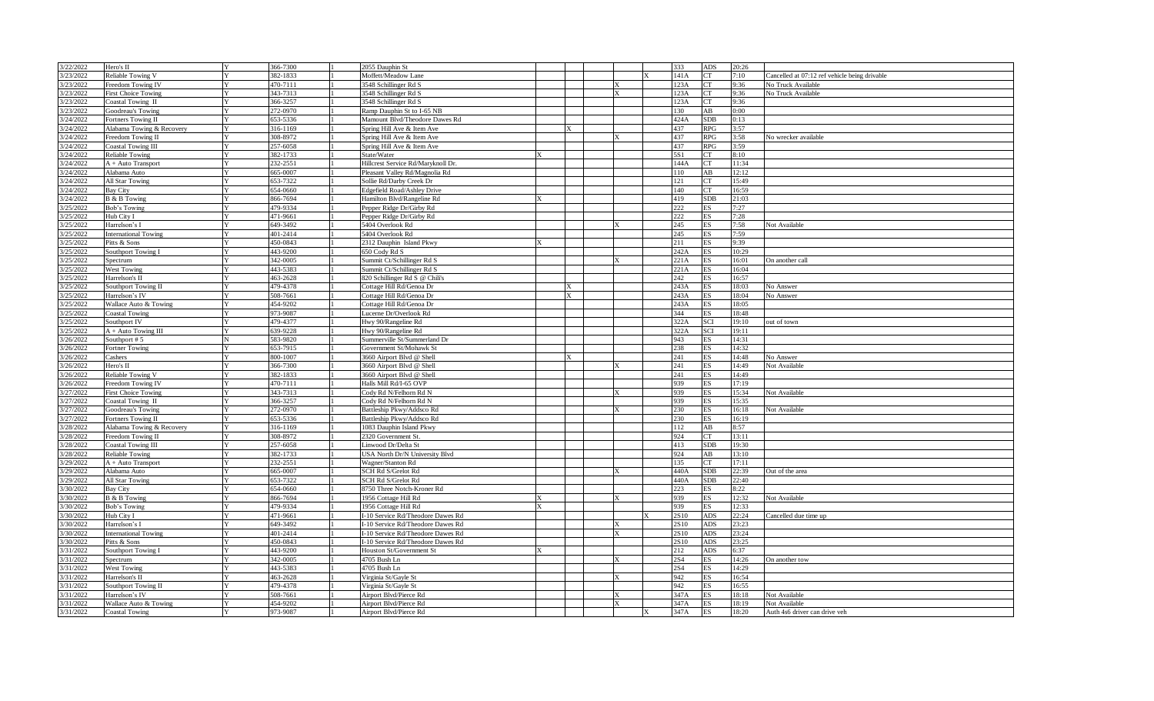| 3/22/2022 | Hero's II                                      | Y            | 366-7300 | 2055 Dauphin St                    |   |  |   | 333<br>ADS         | 20:26 |                                               |
|-----------|------------------------------------------------|--------------|----------|------------------------------------|---|--|---|--------------------|-------|-----------------------------------------------|
| 3/23/2022 | Reliable Towing V                              | $\mathbf{v}$ | 382-1833 | Moffett/Meadow Lane                |   |  | X | 141A<br>CT         | 7:10  | Cancelled at 07:12 ref vehicle being drivable |
| 3/23/2022 | Freedom Towing IV                              |              | 470-7111 | 3548 Schillinger Rd S              |   |  |   | 123A<br>СT         | 9:36  | No Truck Available                            |
| 3/23/2022 | <b>First Choice Towing</b>                     |              | 343-7313 | 3548 Schillinger Rd S              |   |  |   | 123A<br>СT         | 9:36  | No Truck Available                            |
| 3/23/2022 | Coastal Towing II                              |              | 366-3257 | 3548 Schillinger Rd S              |   |  |   | 123A<br>CT.        | 9:36  |                                               |
| 3/23/2022 | Goodreau's Towing                              | Y            | 272-0970 | Ramp Dauphin St to I-65 NB         |   |  |   | 130<br>AB          | 0:00  |                                               |
| 3/24/2022 | Fortners Towing II                             |              | 653-5336 | Mamount Blvd/Theodore Dawes Rd     |   |  |   | <b>SDB</b><br>424A | 0:13  |                                               |
|           |                                                |              |          |                                    |   |  |   |                    |       |                                               |
| 3/24/2022 | Alabama Towing & Recovery                      |              | 316-1169 | Spring Hill Ave & Item Ave         | X |  |   | 437<br>RPG         | 3:57  |                                               |
| 3/24/2022 | Freedom Towing II                              |              | 308-8972 | Spring Hill Ave & Item Ave         |   |  |   | 437<br>RPG         | 3:58  | No wrecker available                          |
| 3/24/2022 | <b>Coastal Towing III</b>                      | V            | 257-6058 | Spring Hill Ave & Item Ave         |   |  |   | 437<br>RPG         | 3:59  |                                               |
| 3/24/2022 | <b>Reliable Towing</b>                         |              | 382-1733 | State/Water                        |   |  |   | 5S1<br>СT          | 8:10  |                                               |
| 3/24/2022 | A + Auto Transport                             |              | 232-2551 | Hillcrest Service Rd/Maryknoll Dr. |   |  |   | 144A<br>CT.        | 11:34 |                                               |
| 3/24/2022 | Alabama Auto                                   |              | 665-0007 | Pleasant Valley Rd/Magnolia Rd     |   |  |   | AB<br>110          | 12:12 |                                               |
| 3/24/2022 | All Star Towing                                | V            | 653-7322 | Sollie Rd/Darby Creek Dr           |   |  |   | 121<br>CT.         | 15:49 |                                               |
| 3/24/2022 | <b>Bay City</b>                                |              | 654-0660 | <b>Edgefield Road/Ashley Drive</b> |   |  |   | 140<br><b>CT</b>   | 16:59 |                                               |
| 3/24/2022 | B & B Towing                                   |              | 866-7694 | Hamilton Blvd/Rangeline Rd         |   |  |   | 419<br>SDB         | 21:03 |                                               |
| 3/25/2022 | Bob's Towing                                   | $\mathbf{v}$ | 479-9334 | Pepper Ridge Dr/Girby Rd           |   |  |   | 222<br>ES.         | 7:27  |                                               |
| 3/25/2022 | Hub City I                                     | $\mathbf{v}$ | 471-9661 | Pepper Ridge Dr/Girby Rd           |   |  |   | 222<br><b>ES</b>   | 7:28  |                                               |
| 3/25/2022 | Harrelson's I                                  |              | 649-3492 | 5404 Overlook Rd                   |   |  |   | 245<br>ES.         | 7:58  | Not Available                                 |
| 3/25/2022 | <b>International Towing</b>                    |              | 401-2414 | 5404 Overlook Rd                   |   |  |   | 245<br>ES          | 7:59  |                                               |
| 3/25/2022 | Pitts & Sons                                   |              | 450-0843 | 2312 Dauphin Island Pkwy           |   |  |   | 211<br>ES.         | 9:39  |                                               |
| 3/25/2022 | Southport Towing I                             | Y            | 443-9200 | 650 Cody Rd S                      |   |  |   | 242A<br>ES         | 10:29 |                                               |
| 3/25/2022 | Spectrum                                       |              | 342-0005 | Summit Ct/Schillinger Rd S         |   |  |   | 221A<br>ES         | 16:01 | On another call                               |
| 3/25/2022 | <b>West Towing</b>                             |              | 443-5383 | Summit Ct/Schillinger Rd S         |   |  |   | 221A<br>ES.        | 16:04 |                                               |
| 3/25/2022 | Harrelson's II                                 | $\mathbf{v}$ | 463-2628 | 820 Schillinger Rd S @ Chili's     |   |  |   | 242<br>ES.         | 16:57 |                                               |
| 3/25/2022 | Southport Towing II                            |              | 479-4378 | Cottage Hill Rd/Genoa Dr           | X |  |   | 243A<br>ES.        | 18:03 | No Answer                                     |
| 3/25/2022 | Harrelson's IV                                 |              | 508-7661 | Cottage Hill Rd/Genoa Dr           | X |  |   | 243A<br>ES         | 18:04 | No Answer                                     |
| 3/25/2022 |                                                | $\mathbf{v}$ | 454-9202 | Cottage Hill Rd/Genoa Dr           |   |  |   | 243A<br>ES         | 18:05 |                                               |
| 3/25/2022 | Wallace Auto & Towing<br><b>Coastal Towing</b> |              | 973-9087 |                                    |   |  |   | 344<br>ES.         | 18:48 |                                               |
|           |                                                | V            |          | Lucerne Dr/Overlook Rd             |   |  |   |                    |       |                                               |
| 3/25/2022 | Southport IV                                   |              | 479-4377 | Hwy 90/Rangeline Rd                |   |  |   | 322A<br>SCI        | 19:10 | out of town                                   |
| 3/25/2022 | $A + Auto Towning III$                         |              | 639-9228 | Hwy 90/Rangeline Rd                |   |  |   | 322A<br>SCI        | 19:11 |                                               |
| 3/26/2022 | Southport #5                                   | N            | 583-9820 | Summerville St/Summerland Dr       |   |  |   | 943<br>ES.         | 14:31 |                                               |
| 3/26/2022 | Fortner Towing                                 | Y            | 653-7915 | Government St/Mohawk St            |   |  |   | 238<br><b>ES</b>   | 14:32 |                                               |
| 3/26/2022 | Cashers                                        | $\mathbf{v}$ | 800-1007 | 3660 Airport Blvd @ Shell          | X |  |   | 241<br><b>ES</b>   | 14:48 | No Answer                                     |
| 3/26/2022 | Hero's II                                      |              | 366-7300 | 3660 Airport Blvd @ Shell          |   |  |   | 241<br>ES.         | 14:49 | Not Available                                 |
| 3/26/2022 | Reliable Towing V                              |              | 382-1833 | 3660 Airport Blvd @ Shell          |   |  |   | 241<br>ES          | 14:49 |                                               |
| 3/26/2022 | Freedom Towing IV                              |              | 470-7111 | Halls Mill Rd/I-65 OVP             |   |  |   | 939<br><b>ES</b>   | 17:19 |                                               |
| 3/27/2022 | First Choice Towing                            | Y            | 343-7313 | Cody Rd N/Felhorn Rd N             |   |  |   | 939<br>ES          | 15:34 | Not Available                                 |
| 3/27/2022 | Coastal Towing II                              |              | 366-3257 | Cody Rd N/Felhorn Rd N             |   |  |   | 939<br>ES          | 15:35 |                                               |
| 3/27/2022 | Goodreau's Towing                              |              | 272-0970 | Battleship Pkwy/Addsco Rd          |   |  |   | 230<br>ES          | 16:18 | Not Available                                 |
| 3/27/2022 | Fortners Towing II                             | $\mathbf{v}$ | 653-5336 | Battleship Pkwy/Addsco Rd          |   |  |   | 230<br><b>ES</b>   | 16:19 |                                               |
| 3/28/2022 | Alabama Towing & Recovery                      |              | 316-1169 | 1083 Dauphin Island Pkwy           |   |  |   | 112<br>AB          | 8:57  |                                               |
| 3/28/2022 | Freedom Towing II                              |              | 308-8972 | 2320 Government St.                |   |  |   | 924<br>CT          | 13:11 |                                               |
| 3/28/2022 | <b>Coastal Towing III</b>                      | Y            | 257-6058 | Linwood Dr/Delta St                |   |  |   | 413<br><b>SDB</b>  | 19:30 |                                               |
| 3/28/2022 | Reliable Towing                                |              | 382-1733 | USA North Dr/N University Blvd     |   |  |   | 924<br>AB          | 13:10 |                                               |
| 3/29/2022 | $A + Auto Transport$                           |              | 232-2551 | Wagner/Stanton Rd                  |   |  |   | 135<br>СT          | 17:11 |                                               |
| 3/29/2022 | Alabama Auto                                   |              | 665-0007 | SCH Rd S/Grelot Rd                 |   |  |   | 440A<br><b>SDB</b> | 22:39 | Out of the area                               |
| 3/29/2022 | All Star Towing                                |              | 653-7322 | SCH Rd S/Grelot Rd                 |   |  |   | 440A<br>SDB        | 22:40 |                                               |
| 3/30/2022 | <b>Bay City</b>                                |              | 654-0660 | 8750 Three Notch-Kroner Rd         |   |  |   | 223<br><b>ES</b>   | 8:22  |                                               |
| 3/30/2022 | B & B Towing                                   |              | 866-7694 | 1956 Cottage Hill Rd               |   |  |   | 939<br>ES          | 12:32 | Not Available                                 |
| 3/30/2022 | Bob's Towing                                   |              | 479-9334 | 1956 Cottage Hill Rd               |   |  |   | 939<br>ES.         | 12:33 |                                               |
| 3/30/2022 | Hub City I                                     |              | 471-9661 | I-10 Service Rd/Theodore Dawes Rd  |   |  |   | 2S10<br>ADS        | 22:24 | Cancelled due time up                         |
| 3/30/2022 | Harrelson's I                                  |              | 649-3492 | I-10 Service Rd/Theodore Dawes Rd  |   |  |   | 2S10<br><b>ADS</b> | 23:23 |                                               |
| 3/30/2022 |                                                |              | 401-2414 |                                    |   |  |   | 2S10<br>ADS        | 23:24 |                                               |
|           | <b>International Towing</b>                    |              | 450-0843 | I-10 Service Rd/Theodore Dawes Rd  |   |  |   | 2S10<br><b>ADS</b> | 23:25 |                                               |
| 3/30/2022 | Pitts & Sons                                   |              |          | I-10 Service Rd/Theodore Dawes Rd  |   |  |   |                    |       |                                               |
| 3/31/2022 | <b>Southport Towing I</b>                      |              | 443-9200 | Houston St/Government St           |   |  |   | 212<br>ADS         | 6:37  |                                               |
| 3/31/2022 | Spectrum                                       |              | 342-0005 | 4705 Bush Ln                       |   |  |   | <b>2S4</b><br>ES   | 14:26 | On another tow                                |
| 3/31/2022 | <b>West Towing</b>                             |              | 443-5383 | 4705 Bush Ln                       |   |  |   | 2S4<br><b>ES</b>   | 14:29 |                                               |
| 3/31/2022 | Harrelson's II                                 |              | 463-2628 | Virginia St/Gayle St               |   |  |   | 942<br>ES.         | 16:54 |                                               |
| 3/31/2022 | Southport Towing II                            |              | 479-4378 | Virginia St/Gayle St               |   |  |   | 942<br>ES          | 16:55 |                                               |
| 3/31/2022 | Harrelson's IV                                 |              | 508-7661 | Airport Blvd/Pierce Rd             |   |  |   | 347A<br><b>ES</b>  | 18:18 | Not Available                                 |
| 3/31/2022 | Wallace Auto & Towing                          |              | 454-9202 | Airport Blvd/Pierce Rd             |   |  |   | 347A<br>ES         | 18:19 | Not Available                                 |
| 3/31/2022 | <b>Coastal Towing</b>                          |              | 973-9087 | Airport Blvd/Pierce Rd             |   |  |   | 347A<br>żς         | 18:20 | Auth 4s6 driver can drive veh                 |